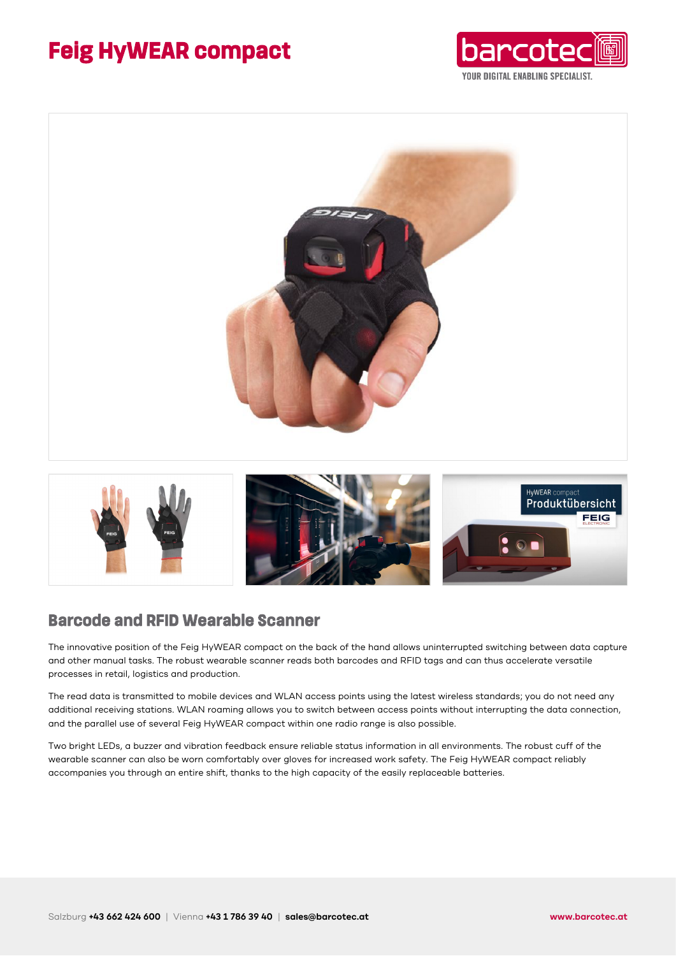## **Feig HyWEAR compact**





## **Barcode and RFID Wearable Scanner**

The innovative position of the Feig HyWEAR compact on the back of the hand allows uninterrupted switching between data capture and other manual tasks. The robust wearable scanner reads both barcodes and RFID tags and can thus accelerate versatile processes in retail, logistics and production.

The read data is transmitted to mobile devices and WLAN access points using the latest wireless standards; you do not need any additional receiving stations. WLAN roaming allows you to switch between access points without interrupting the data connection, and the parallel use of several Feig HyWEAR compact within one radio range is also possible.

Two bright LEDs, a buzzer and vibration feedback ensure reliable status information in all environments. The robust cuff of the wearable scanner can also be worn comfortably over gloves for increased work safety. The Feig HyWEAR compact reliably accompanies you through an entire shift, thanks to the high capacity of the easily replaceable batteries.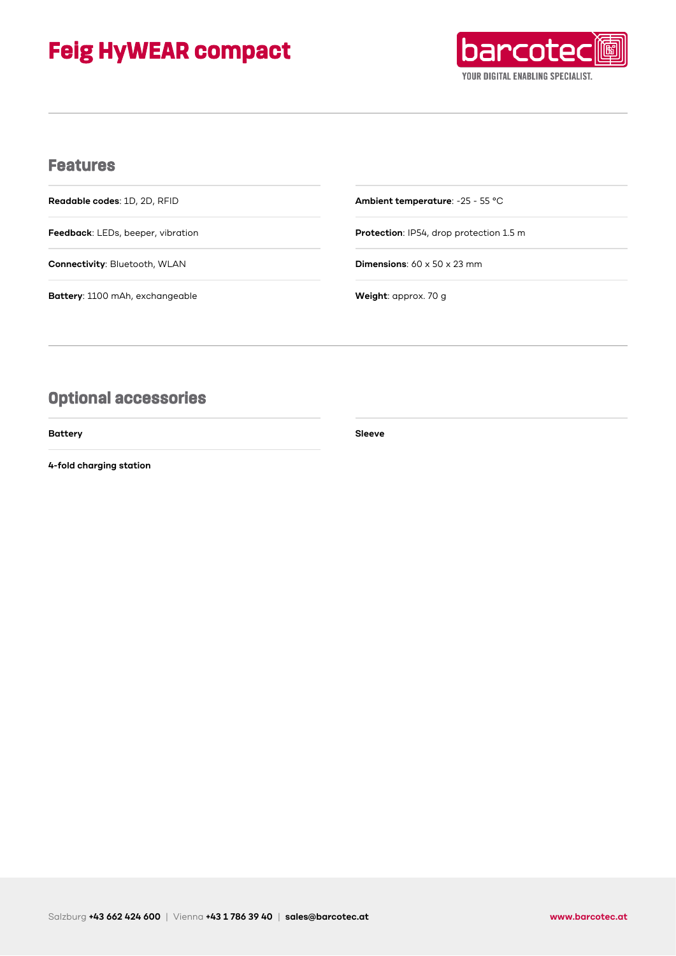# **Feig HyWEAR compact**



### **Features**

**Readable codes**: 1D, 2D, RFID

**Feedback**: LEDs, beeper, vibration

**Connectivity**: Bluetooth, WLAN

**Ambient temperature**: -25 - 55 °C

**Protection**: IP54, drop protection 1.5 m

**Dimensions**: 60 x 50 x 23 mm

**Battery**: 1100 mAh, exchangeable

**Weight**: approx. 70 g

**Sleeve**

## **Optional accessories**

**Battery**

**4-fold charging station**